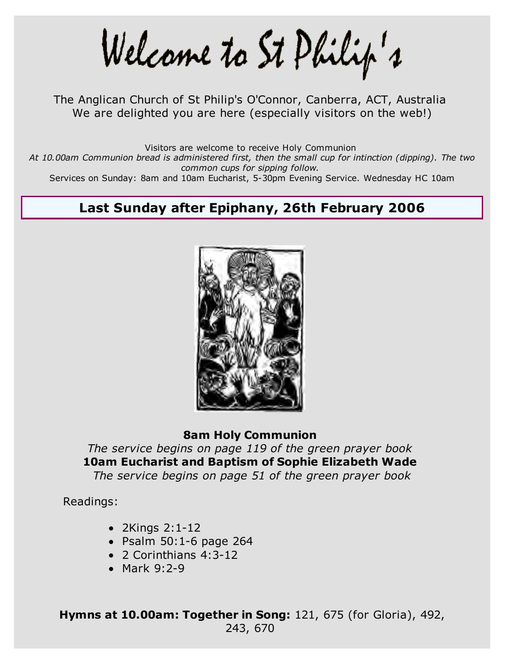Welcame to St Philip's

The Anglican Church of St Philip's O'Connor, Canberra, ACT, Australia We are delighted you are here (especially visitors on the web!)

Visitors are welcome to receive Holy Communion

*At 10.00am Communion bread is administered first, then the small cup for intinction (dipping). The two common cups for sipping follow.*

Services on Sunday: 8am and 10am Eucharist, 5-30pm Evening Service. Wednesday HC 10am

# **Last Sunday after Epiphany, 26th February 2006**



#### **8am Holy Communion**

*The service begins on page 119 of the green prayer book* **10am Eucharist and Baptism of Sophie Elizabeth Wade** *The service begins on page 51 of the green prayer book*

Readings:

- 2Kings 2:1-12
- $\bullet$  Psalm 50:1-6 page 264
- 2 Corinthians 4:3-12
- Mark 9:2-9

**Hymns at 10.00am: Together in Song:** 121, 675 (for Gloria), 492, 243, 670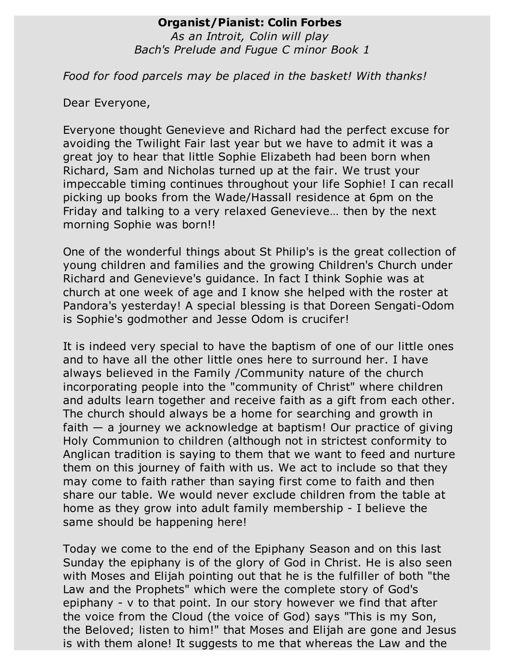### **Organist/Pianist: Colin Forbes**

*As an Introit, Colin will play Bach's Prelude and Fugue C minor Book 1*

*Food for food parcels may be placed in the basket! With thanks!*

Dear Everyone,

Everyone thought Genevieve and Richard had the perfect excuse for avoiding the Twilight Fair last year but we have to admit it was a great joy to hear that little Sophie Elizabeth had been born when Richard, Sam and Nicholas turned up at the fair. We trust your impeccable timing continues throughout your life Sophie! I can recall picking up books from the Wade/Hassall residence at 6pm on the Friday and talking to a very relaxed Genevieve… then by the next morning Sophie was born!!

One of the wonderful things about St Philip's is the great collection of young children and families and the growing Children's Church under Richard and Genevieve's guidance. In fact I think Sophie was at church at one week of age and I know she helped with the roster at Pandora's yesterday! A special blessing is that Doreen Sengati-Odom is Sophie's godmother and Jesse Odom is crucifer!

It is indeed very special to have the baptism of one of our little ones and to have all the other little ones here to surround her. I have always believed in the Family /Community nature of the church incorporating people into the "community of Christ" where children and adults learn together and receive faith as a gift from each other. The church should always be a home for searching and growth in faith  $-$  a journey we acknowledge at baptism! Our practice of giving Holy Communion to children (although not in strictest conformity to Anglican tradition is saying to them that we want to feed and nurture them on this journey of faith with us. We act to include so that they may come to faith rather than saying first come to faith and then share our table. We would never exclude children from the table at home as they grow into adult family membership - I believe the same should be happening here!

Today we come to the end of the Epiphany Season and on this last Sunday the epiphany is of the glory of God in Christ. He is also seen with Moses and Elijah pointing out that he is the fulfiller of both "the Law and the Prophets" which were the complete story of God's epiphany - v to that point. In our story however we find that after the voice from the Cloud (the voice of God) says "This is my Son, the Beloved; listen to him!" that Moses and Elijah are gone and Jesus is with them alone! It suggests to me that whereas the Law and the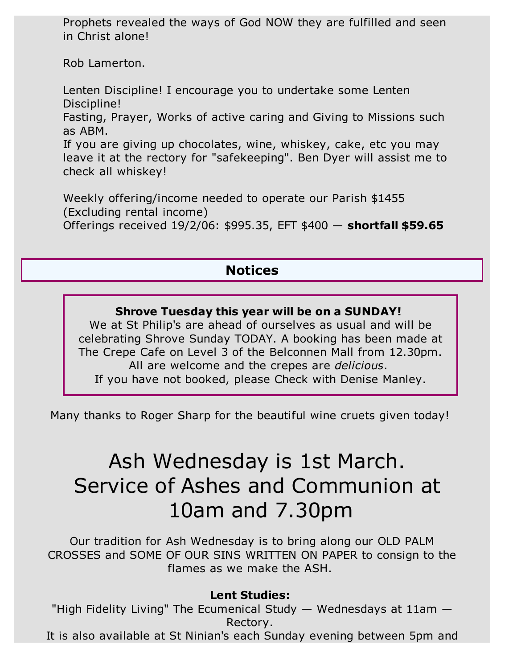Prophets revealed the ways of God NOW they are fulfilled and seen in Christ alone!

Rob Lamerton.

Lenten Discipline! I encourage you to undertake some Lenten Discipline!

Fasting, Prayer, Works of active caring and Giving to Missions such as ABM.

If you are giving up chocolates, wine, whiskey, cake, etc you may leave it at the rectory for "safekeeping". Ben Dyer will assist me to check all whiskey!

Weekly offering/income needed to operate our Parish \$1455 (Excluding rental income) Offerings received 19/2/06: \$995.35, EFT \$400 — **shortfall \$59.65**

# **Notices**

## **Shrove Tuesday this year will be on a SUNDAY!**

We at St Philip's are ahead of ourselves as usual and will be celebrating Shrove Sunday TODAY. A booking has been made at The Crepe Cafe on Level 3 of the Belconnen Mall from 12.30pm. All are welcome and the crepes are *delicious*. If you have not booked, please Check with Denise Manley.

Many thanks to Roger Sharp for the beautiful wine cruets given today!

# Ash Wednesday is 1st March. Service of Ashes and Communion at 10am and 7.30pm

Our tradition for Ash Wednesday is to bring along our OLD PALM CROSSES and SOME OF OUR SINS WRITTEN ON PAPER to consign to the flames as we make the ASH.

# **Lent Studies:**

"High Fidelity Living" The Ecumenical Study  $-$  Wednesdays at 11am  $-$ Rectory.

It is also available at St Ninian's each Sunday evening between 5pm and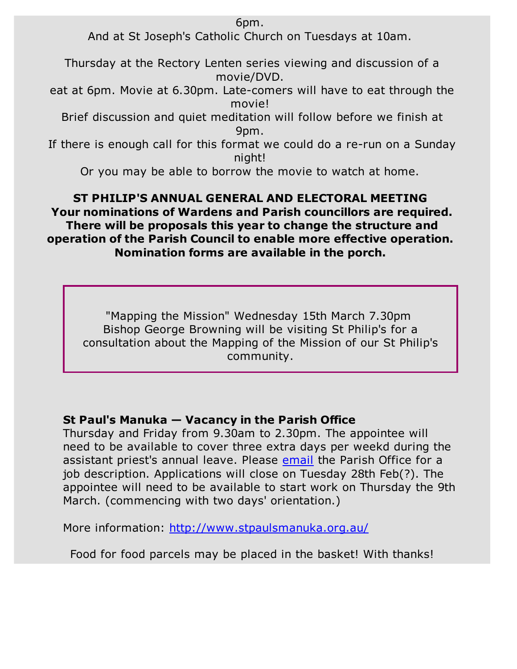6pm.

And at St Joseph's Catholic Church on Tuesdays at 10am.

Thursday at the Rectory Lenten series viewing and discussion of a movie/DVD.

eat at 6pm. Movie at 6.30pm. Late-comers will have to eat through the movie!

Brief discussion and quiet meditation will follow before we finish at 9pm.

If there is enough call for this format we could do a re-run on a Sunday night!

Or you may be able to borrow the movie to watch at home.

## **ST PHILIP'S ANNUAL GENERAL AND ELECTORAL MEETING Your nominations of Wardens and Parish councillors are required. There will be proposals this year to change the structure and operation of the Parish Council to enable more effective operation. Nomination forms are available in the porch.**

"Mapping the Mission" Wednesday 15th March 7.30pm Bishop George Browning will be visiting St Philip's for a consultation about the Mapping of the Mission of our St Philip's community.

# **St Paul's Manuka — Vacancy in the Parish Office**

Thursday and Friday from 9.30am to 2.30pm. The appointee will need to be available to cover three extra days per weekd during the assistant priest's annual leave. Please email the Parish Office for a job description. Applications will close on Tuesday 28th Feb(?). The appointee will need to be available to start work on Thursday the 9th March. (commencing with two days' orientation.)

More information: http://www.stpaulsmanuka.org.au/

Food for food parcels may be placed in the basket! With thanks!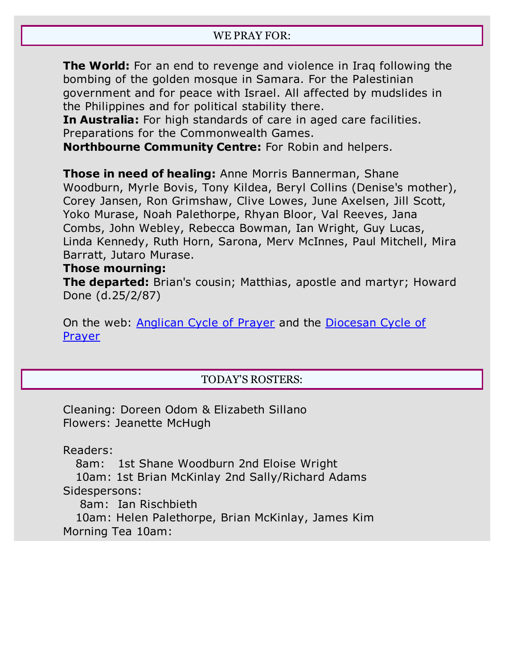**The World:** For an end to revenge and violence in Iraq following the bombing of the golden mosque in Samara. For the Palestinian government and for peace with Israel. All affected by mudslides in the Philippines and for political stability there.

**In Australia:** For high standards of care in aged care facilities. Preparations for the Commonwealth Games.

**Northbourne Community Centre:** For Robin and helpers.

**Those in need of healing:** Anne Morris Bannerman, Shane Woodburn, Myrle Bovis, Tony Kildea, Beryl Collins (Denise's mother), Corey Jansen, Ron Grimshaw, Clive Lowes, June Axelsen, Jill Scott, Yoko Murase, Noah Palethorpe, Rhyan Bloor, Val Reeves, Jana Combs, John Webley, Rebecca Bowman, Ian Wright, Guy Lucas, Linda Kennedy, Ruth Horn, Sarona, Merv McInnes, Paul Mitchell, Mira Barratt, Jutaro Murase.

#### **Those mourning:**

**The departed:** Brian's cousin; Matthias, apostle and martyr; Howard Done (d.25/2/87)

On the web: Anglican Cycle of Prayer and the Diocesan Cycle of Prayer

#### TODAY'S ROSTERS:

Cleaning: Doreen Odom & Elizabeth Sillano Flowers: Jeanette McHugh

Readers:

8am: 1st Shane Woodburn 2nd Eloise Wright

 10am: 1st Brian McKinlay 2nd Sally/Richard Adams Sidespersons:

8am: Ian Rischbieth

 10am: Helen Palethorpe, Brian McKinlay, James Kim Morning Tea 10am: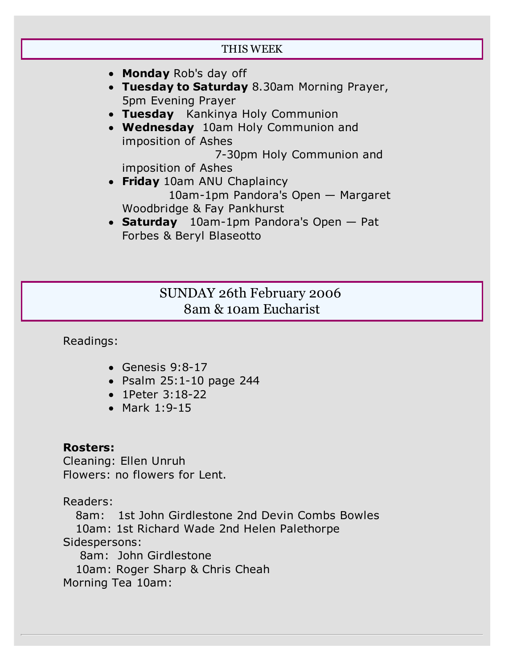| THIS WEEK                                                                                        |
|--------------------------------------------------------------------------------------------------|
|                                                                                                  |
| • Monday Rob's day off<br>• Tuesday to Saturday 8.30am Morning Prayer,<br>5pm Evening Prayer     |
| • Tuesday Kankinya Holy Communion<br>• Wednesday 10am Holy Communion and<br>imposition of Ashes  |
| 7-30pm Holy Communion and<br>imposition of Ashes                                                 |
| • Friday 10am ANU Chaplaincy<br>10am-1pm Pandora's Open - Margaret<br>Woodbridge & Fay Pankhurst |
| • Saturday $10am-1pm$ Pandora's Open $-$ Pat<br>Forbes & Beryl Blaseotto                         |
|                                                                                                  |

# SUNDAY 26th February 2006 8am & 10am Eucharist

Readings:

- Genesis 9:8-17
- Psalm 25:1-10 page 244
- 1Peter 3:18-22
- Mark 1:9-15

## **Rosters:**

Cleaning: Ellen Unruh Flowers: no flowers for Lent.

Readers:

 8am: 1st John Girdlestone 2nd Devin Combs Bowles 10am: 1st Richard Wade 2nd Helen Palethorpe Sidespersons:

8am: John Girdlestone

10am: Roger Sharp & Chris Cheah

Morning Tea 10am: